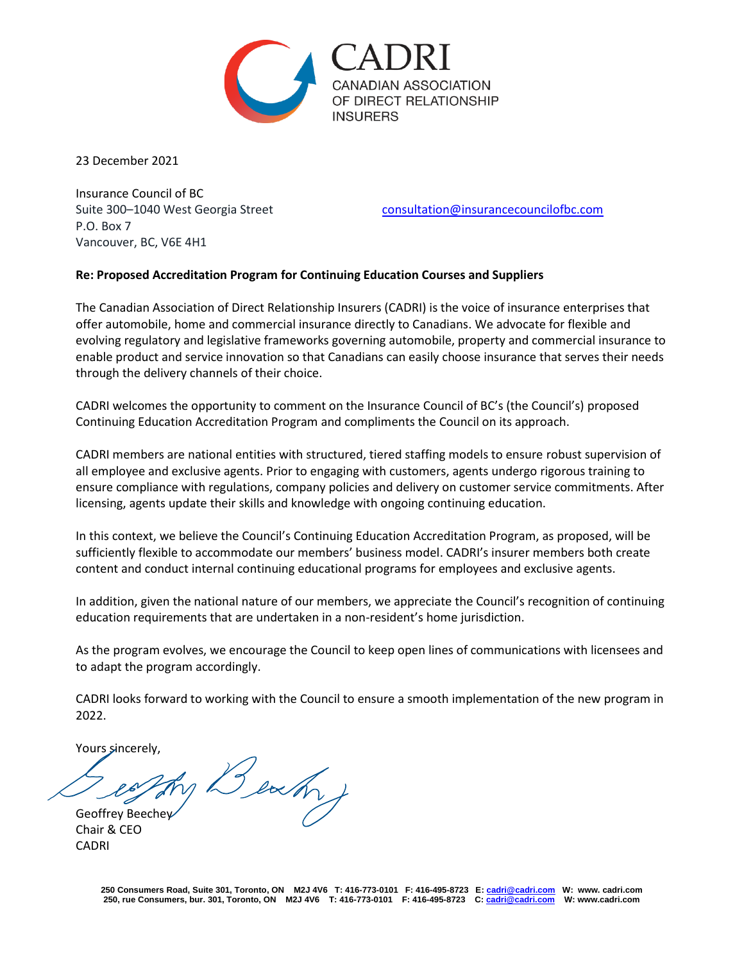

23 December 2021

Insurance Council of BC P.O. Box 7 Vancouver, BC, V6E 4H1

Suite 300–1040 West Georgia Street [consultation@insurancecouncilofbc.com](mailto:consultation@insurancecouncilofbc.com)

## **Re: Proposed Accreditation Program for Continuing Education Courses and Suppliers**

The Canadian Association of Direct Relationship Insurers (CADRI) is the voice of insurance enterprises that offer automobile, home and commercial insurance directly to Canadians. We advocate for flexible and evolving regulatory and legislative frameworks governing automobile, property and commercial insurance to enable product and service innovation so that Canadians can easily choose insurance that serves their needs through the delivery channels of their choice.

CADRI welcomes the opportunity to comment on the Insurance Council of BC's (the Council's) proposed Continuing Education Accreditation Program and compliments the Council on its approach.

CADRI members are national entities with structured, tiered staffing models to ensure robust supervision of all employee and exclusive agents. Prior to engaging with customers, agents undergo rigorous training to ensure compliance with regulations, company policies and delivery on customer service commitments. After licensing, agents update their skills and knowledge with ongoing continuing education.

In this context, we believe the Council's Continuing Education Accreditation Program, as proposed, will be sufficiently flexible to accommodate our members' business model. CADRI's insurer members both create content and conduct internal continuing educational programs for employees and exclusive agents.

In addition, given the national nature of our members, we appreciate the Council's recognition of continuing education requirements that are undertaken in a non-resident's home jurisdiction.

As the program evolves, we encourage the Council to keep open lines of communications with licensees and to adapt the program accordingly.

CADRI looks forward to working with the Council to ensure a smooth implementation of the new program in 2022.

Yours sincerely,

Beach Geoffrey Beechey

Chair & CEO CADRI